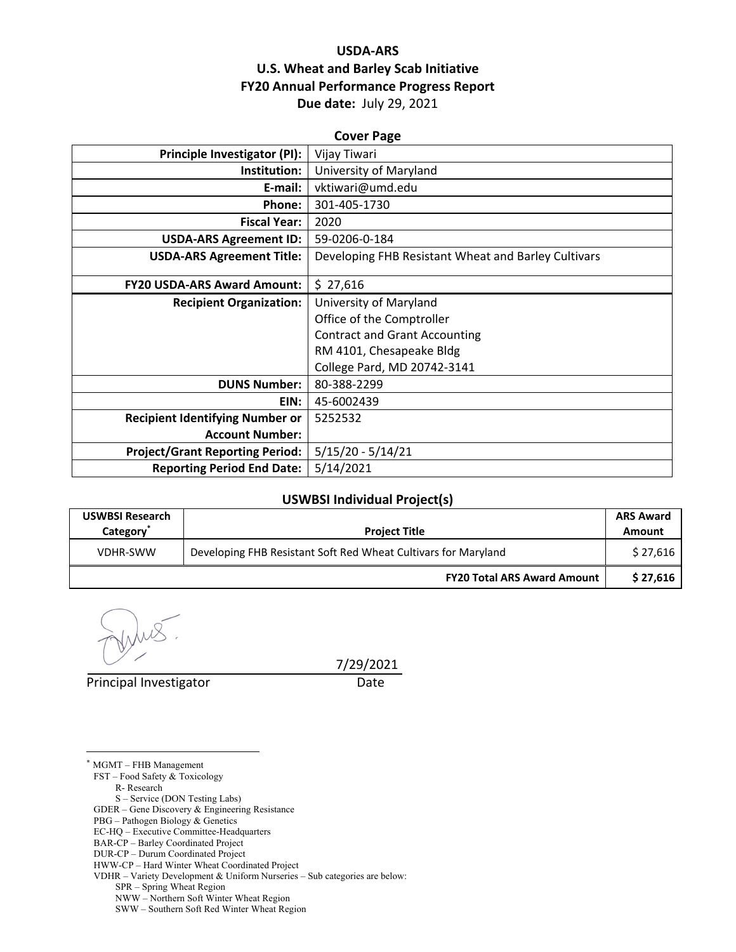## **USDA‐ARS U.S. Wheat and Barley Scab Initiative FY20 Annual Performance Progress Report Due date:** July 29, 2021

| <b>Cover Page</b>                      |                                                     |  |  |  |
|----------------------------------------|-----------------------------------------------------|--|--|--|
| Principle Investigator (PI):           | Vijay Tiwari                                        |  |  |  |
| Institution:                           | University of Maryland                              |  |  |  |
| E-mail:                                | vktiwari@umd.edu                                    |  |  |  |
| Phone:                                 | 301-405-1730                                        |  |  |  |
| <b>Fiscal Year:</b>                    | 2020                                                |  |  |  |
| <b>USDA-ARS Agreement ID:</b>          | 59-0206-0-184                                       |  |  |  |
| <b>USDA-ARS Agreement Title:</b>       | Developing FHB Resistant Wheat and Barley Cultivars |  |  |  |
|                                        |                                                     |  |  |  |
| <b>FY20 USDA-ARS Award Amount:</b>     | \$27,616                                            |  |  |  |
| <b>Recipient Organization:</b>         | University of Maryland                              |  |  |  |
|                                        | Office of the Comptroller                           |  |  |  |
|                                        | <b>Contract and Grant Accounting</b>                |  |  |  |
|                                        | RM 4101, Chesapeake Bldg                            |  |  |  |
|                                        | College Pard, MD 20742-3141                         |  |  |  |
| <b>DUNS Number:</b>                    | 80-388-2299                                         |  |  |  |
| EIN:                                   | 45-6002439                                          |  |  |  |
| <b>Recipient Identifying Number or</b> | 5252532                                             |  |  |  |
| <b>Account Number:</b>                 |                                                     |  |  |  |
| <b>Project/Grant Reporting Period:</b> | $5/15/20 - 5/14/21$                                 |  |  |  |
| <b>Reporting Period End Date:</b>      | 5/14/2021                                           |  |  |  |

#### **USWBSI Individual Project(s)**

| <b>USWBSI Research</b><br>Category <sup>*</sup> | <b>Project Title</b>                                           | <b>ARS Award</b><br>Amount |
|-------------------------------------------------|----------------------------------------------------------------|----------------------------|
| VDHR-SWW                                        | Developing FHB Resistant Soft Red Wheat Cultivars for Maryland | \$27,616                   |
|                                                 | <b>FY20 Total ARS Award Amount</b>                             | \$27,616                   |

Principal Investigator Date

 $\overline{a}$ 

7/29/2021

\* MGMT – FHB Management FST – Food Safety & Toxicology R- Research S – Service (DON Testing Labs) GDER – Gene Discovery & Engineering Resistance PBG – Pathogen Biology & Genetics EC-HQ – Executive Committee-Headquarters BAR-CP – Barley Coordinated Project DUR-CP – Durum Coordinated Project HWW-CP – Hard Winter Wheat Coordinated Project VDHR – Variety Development & Uniform Nurseries – Sub categories are below: SPR – Spring Wheat Region NWW – Northern Soft Winter Wheat Region SWW – Southern Soft Red Winter Wheat Region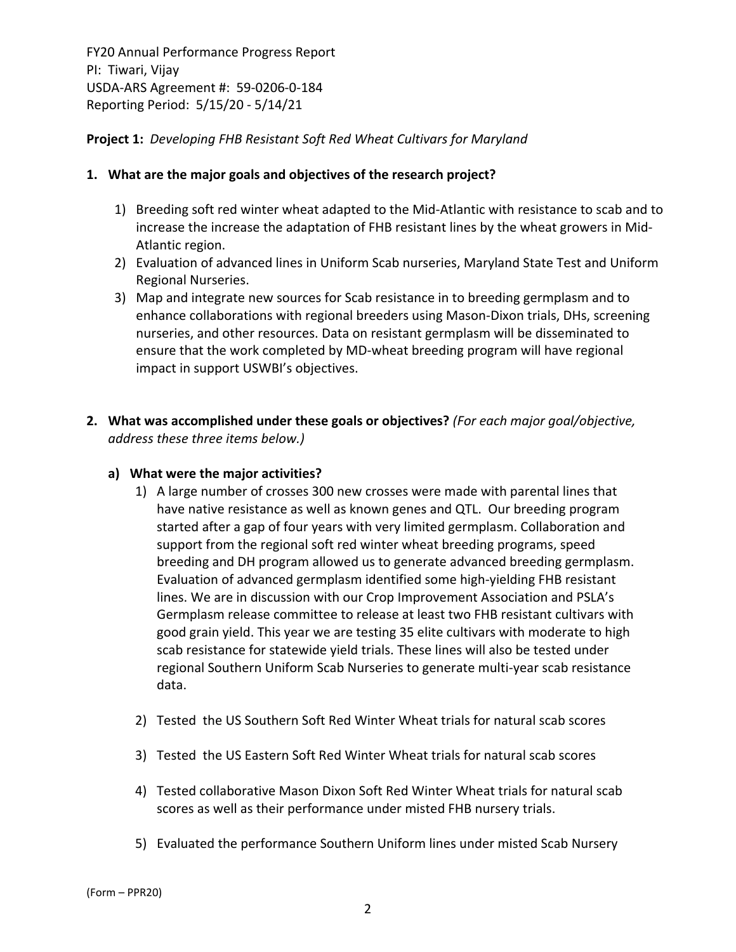### **Project 1:** *Developing FHB Resistant Soft Red Wheat Cultivars for Maryland*

#### **1. What are the major goals and objectives of the research project?**

- 1) Breeding soft red winter wheat adapted to the Mid‐Atlantic with resistance to scab and to increase the increase the adaptation of FHB resistant lines by the wheat growers in Mid-Atlantic region.
- 2) Evaluation of advanced lines in Uniform Scab nurseries, Maryland State Test and Uniform Regional Nurseries.
- 3) Map and integrate new sources for Scab resistance in to breeding germplasm and to enhance collaborations with regional breeders using Mason‐Dixon trials, DHs, screening nurseries, and other resources. Data on resistant germplasm will be disseminated to ensure that the work completed by MD‐wheat breeding program will have regional impact in support USWBI's objectives.
- **2. What was accomplished under these goals or objectives?** *(For each major goal/objective, address these three items below.)*

#### **a) What were the major activities?**

- 1) A large number of crosses 300 new crosses were made with parental lines that have native resistance as well as known genes and QTL. Our breeding program started after a gap of four years with very limited germplasm. Collaboration and support from the regional soft red winter wheat breeding programs, speed breeding and DH program allowed us to generate advanced breeding germplasm. Evaluation of advanced germplasm identified some high‐yielding FHB resistant lines. We are in discussion with our Crop Improvement Association and PSLA's Germplasm release committee to release at least two FHB resistant cultivars with good grain yield. This year we are testing 35 elite cultivars with moderate to high scab resistance for statewide yield trials. These lines will also be tested under regional Southern Uniform Scab Nurseries to generate multi‐year scab resistance data.
- 2) Tested the US Southern Soft Red Winter Wheat trials for natural scab scores
- 3) Tested the US Eastern Soft Red Winter Wheat trials for natural scab scores
- 4) Tested collaborative Mason Dixon Soft Red Winter Wheat trials for natural scab scores as well as their performance under misted FHB nursery trials.
- 5) Evaluated the performance Southern Uniform lines under misted Scab Nursery

(Form – PPR20)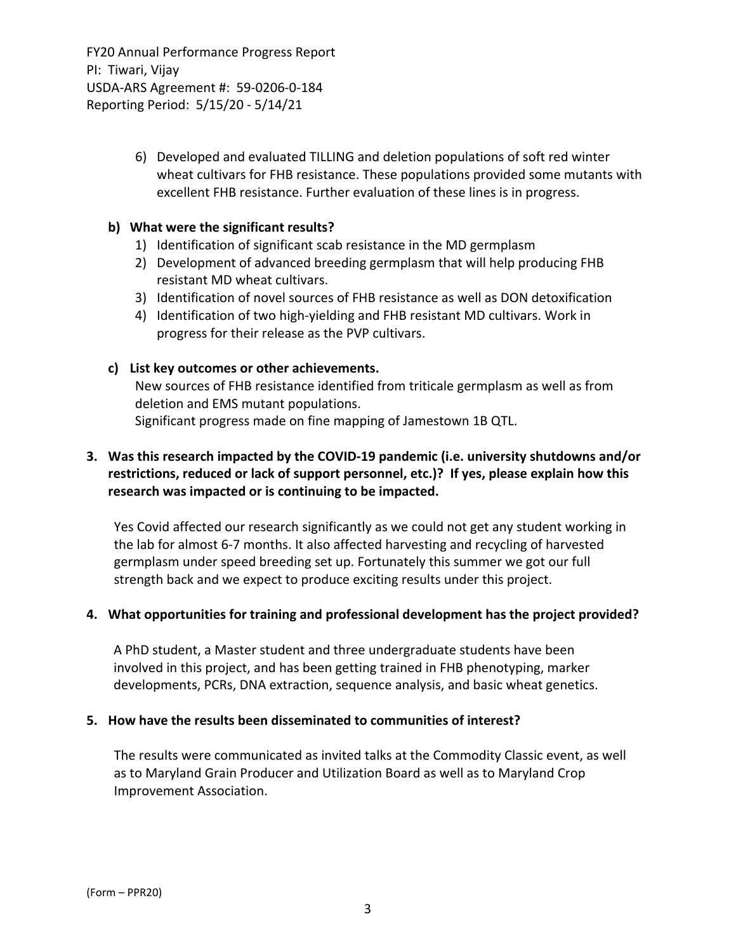> 6) Developed and evaluated TILLING and deletion populations of soft red winter wheat cultivars for FHB resistance. These populations provided some mutants with excellent FHB resistance. Further evaluation of these lines is in progress.

#### **b) What were the significant results?**

- 1) Identification of significant scab resistance in the MD germplasm
- 2) Development of advanced breeding germplasm that will help producing FHB resistant MD wheat cultivars.
- 3) Identification of novel sources of FHB resistance as well as DON detoxification
- 4) Identification of two high‐yielding and FHB resistant MD cultivars. Work in progress for their release as the PVP cultivars.

#### **c) List key outcomes or other achievements.**

New sources of FHB resistance identified from triticale germplasm as well as from deletion and EMS mutant populations. Significant progress made on fine mapping of Jamestown 1B QTL.

## **3. Was this research impacted by the COVID‐19 pandemic (i.e. university shutdowns and/or restrictions, reduced or lack of support personnel, etc.)? If yes, please explain how this research was impacted or is continuing to be impacted.**

Yes Covid affected our research significantly as we could not get any student working in the lab for almost 6‐7 months. It also affected harvesting and recycling of harvested germplasm under speed breeding set up. Fortunately this summer we got our full strength back and we expect to produce exciting results under this project.

#### **4. What opportunities for training and professional development has the project provided?**

A PhD student, a Master student and three undergraduate students have been involved in this project, and has been getting trained in FHB phenotyping, marker developments, PCRs, DNA extraction, sequence analysis, and basic wheat genetics.

#### **5. How have the results been disseminated to communities of interest?**

The results were communicated as invited talks at the Commodity Classic event, as well as to Maryland Grain Producer and Utilization Board as well as to Maryland Crop Improvement Association.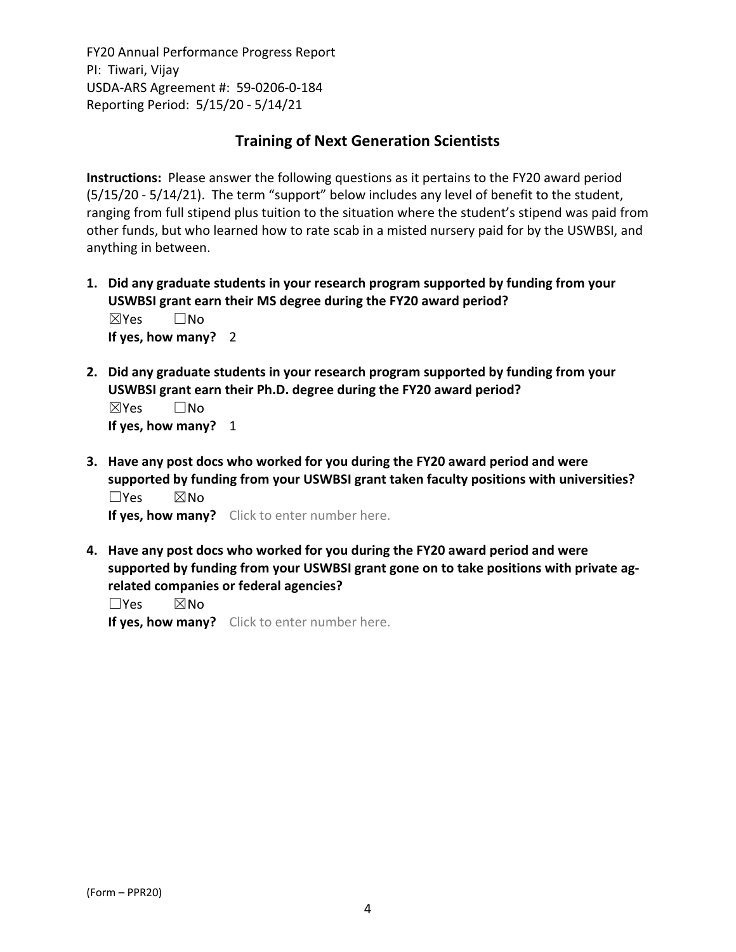# **Training of Next Generation Scientists**

**Instructions:** Please answer the following questions as it pertains to the FY20 award period (5/15/20 ‐ 5/14/21). The term "support" below includes any level of benefit to the student, ranging from full stipend plus tuition to the situation where the student's stipend was paid from other funds, but who learned how to rate scab in a misted nursery paid for by the USWBSI, and anything in between.

- **1. Did any graduate students in your research program supported by funding from your USWBSI grant earn their MS degree during the FY20 award period?** ☒Yes ☐No **If yes, how many?** 2
- **2. Did any graduate students in your research program supported by funding from your USWBSI grant earn their Ph.D. degree during the FY20 award period?** ☒Yes ☐No

**If yes, how many?** 1

**3. Have any post docs who worked for you during the FY20 award period and were supported by funding from your USWBSI grant taken faculty positions with universities?** ☐Yes ☒No

**If yes, how many?** Click to enter number here.

**4. Have any post docs who worked for you during the FY20 award period and were supported by funding from your USWBSI grant gone on to take positions with private ag‐ related companies or federal agencies?**

☐Yes ☒No

**If yes, how many?** Click to enter number here.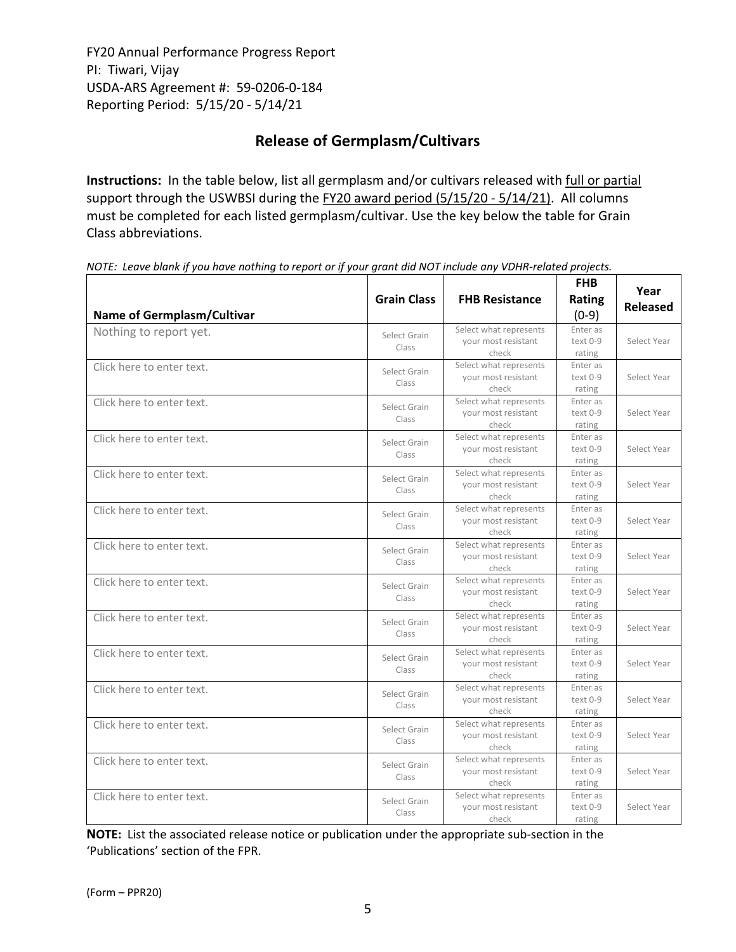# **Release of Germplasm/Cultivars**

**Instructions:** In the table below, list all germplasm and/or cultivars released with full or partial support through the USWBSI during the FY20 award period (5/15/20 - 5/14/21). All columns must be completed for each listed germplasm/cultivar. Use the key below the table for Grain Class abbreviations. 

| <b>Name of Germplasm/Cultivar</b> | <b>Grain Class</b>    | <b>FHB Resistance</b>                                  | <b>FHB</b><br>Rating<br>$(0-9)$ | Year<br><b>Released</b> |
|-----------------------------------|-----------------------|--------------------------------------------------------|---------------------------------|-------------------------|
| Nothing to report yet.            | Select Grain<br>Class | Select what represents<br>your most resistant<br>check | Enter as<br>text 0-9<br>rating  | Select Year             |
| Click here to enter text.         | Select Grain<br>Class | Select what represents<br>your most resistant<br>check | Enter as<br>text 0-9<br>rating  | Select Year             |
| Click here to enter text.         | Select Grain<br>Class | Select what represents<br>your most resistant<br>check | Enter as<br>text 0-9<br>rating  | Select Year             |
| Click here to enter text.         | Select Grain<br>Class | Select what represents<br>your most resistant<br>check | Enter as<br>text 0-9<br>rating  | Select Year             |
| Click here to enter text.         | Select Grain<br>Class | Select what represents<br>your most resistant<br>check | Enter as<br>text 0-9<br>rating  | Select Year             |
| Click here to enter text.         | Select Grain<br>Class | Select what represents<br>your most resistant<br>check | Enter as<br>text 0-9<br>rating  | Select Year             |
| Click here to enter text.         | Select Grain<br>Class | Select what represents<br>your most resistant<br>check | Enter as<br>text 0-9<br>rating  | Select Year             |
| Click here to enter text.         | Select Grain<br>Class | Select what represents<br>your most resistant<br>check | Enter as<br>text 0-9<br>rating  | Select Year             |
| Click here to enter text.         | Select Grain<br>Class | Select what represents<br>your most resistant<br>check | Enter as<br>text 0-9<br>rating  | Select Year             |
| Click here to enter text.         | Select Grain<br>Class | Select what represents<br>your most resistant<br>check | Enter as<br>text 0-9<br>rating  | Select Year             |
| Click here to enter text.         | Select Grain<br>Class | Select what represents<br>your most resistant<br>check | Enter as<br>text 0-9<br>rating  | Select Year             |
| Click here to enter text.         | Select Grain<br>Class | Select what represents<br>your most resistant<br>check | Enter as<br>text 0-9<br>rating  | Select Year             |
| Click here to enter text.         | Select Grain<br>Class | Select what represents<br>your most resistant<br>check | Enter as<br>text 0-9<br>rating  | Select Year             |
| Click here to enter text.         | Select Grain<br>Class | Select what represents<br>your most resistant<br>check | Enter as<br>text 0-9<br>rating  | Select Year             |

NOTE: Leave blank if you have nothing to report or if your grant did NOT include any VDHR-related projects.

**NOTE:** List the associated release notice or publication under the appropriate sub-section in the 'Publications' section of the FPR.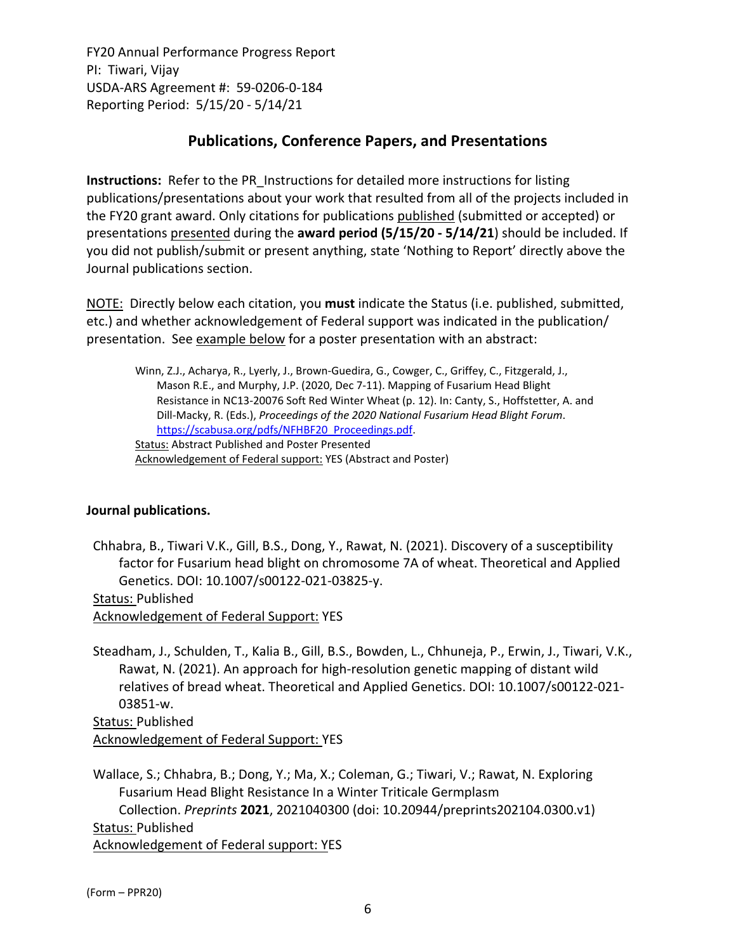# **Publications, Conference Papers, and Presentations**

**Instructions:** Refer to the PR\_Instructions for detailed more instructions for listing publications/presentations about your work that resulted from all of the projects included in the FY20 grant award. Only citations for publications published (submitted or accepted) or presentations presented during the **award period (5/15/20 ‐ 5/14/21**) should be included. If you did not publish/submit or present anything, state 'Nothing to Report' directly above the Journal publications section.

NOTE: Directly below each citation, you **must** indicate the Status (i.e. published, submitted, etc.) and whether acknowledgement of Federal support was indicated in the publication/ presentation. See example below for a poster presentation with an abstract:

Winn, Z.J., Acharya, R., Lyerly, J., Brown‐Guedira, G., Cowger, C., Griffey, C., Fitzgerald, J., Mason R.E., and Murphy, J.P. (2020, Dec 7‐11). Mapping of Fusarium Head Blight Resistance in NC13‐20076 Soft Red Winter Wheat (p. 12). In: Canty, S., Hoffstetter, A. and Dill‐Macky, R. (Eds.), *Proceedings of the 2020 National Fusarium Head Blight Forum*. https://scabusa.org/pdfs/NFHBF20\_Proceedings.pdf. Status: Abstract Published and Poster Presented Acknowledgement of Federal support: YES (Abstract and Poster)

## **Journal publications.**

Chhabra, B., Tiwari V.K., Gill, B.S., Dong, Y., Rawat, N. (2021). Discovery of a susceptibility factor for Fusarium head blight on chromosome 7A of wheat. Theoretical and Applied Genetics. DOI: 10.1007/s00122‐021‐03825‐y.

Status: Published

Acknowledgement of Federal Support: YES

Steadham, J., Schulden, T., Kalia B., Gill, B.S., Bowden, L., Chhuneja, P., Erwin, J., Tiwari, V.K., Rawat, N. (2021). An approach for high‐resolution genetic mapping of distant wild relatives of bread wheat. Theoretical and Applied Genetics. DOI: 10.1007/s00122‐021‐ 03851‐w.

Status: Published Acknowledgement of Federal Support: YES

Wallace, S.; Chhabra, B.; Dong, Y.; Ma, X.; Coleman, G.; Tiwari, V.; Rawat, N. Exploring Fusarium Head Blight Resistance In a Winter Triticale Germplasm Collection. *Preprints* **2021**, 2021040300 (doi: 10.20944/preprints202104.0300.v1) Status: Published Acknowledgement of Federal support: YES